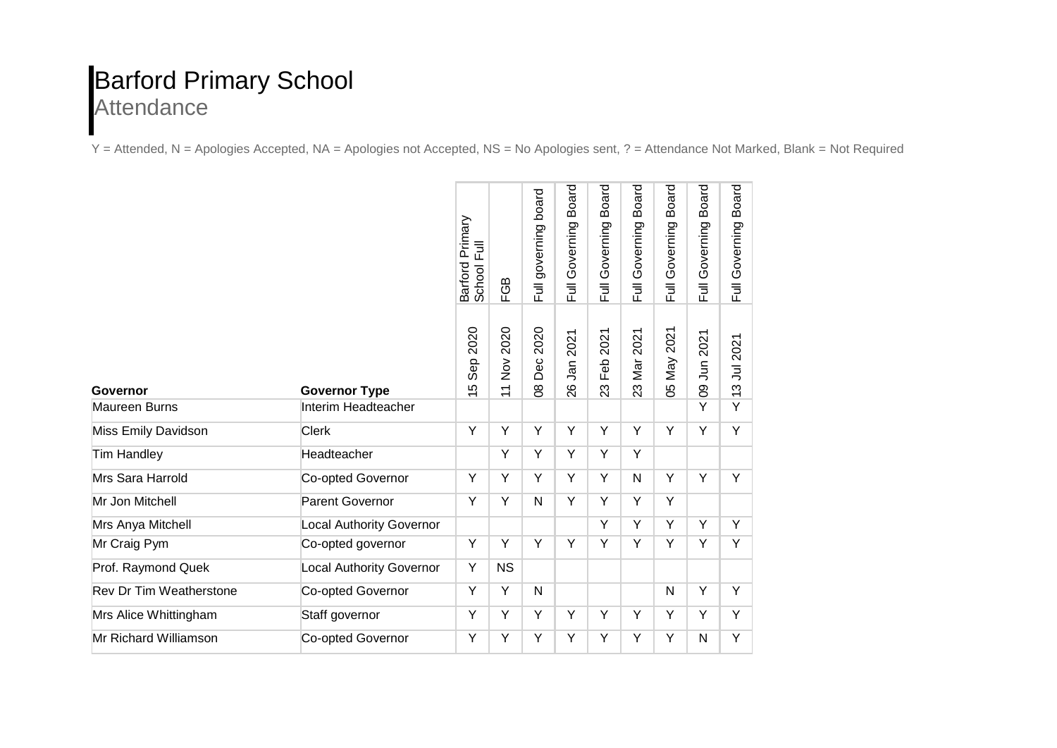## Barford Primary School Attendance

Y = Attended, N = Apologies Accepted, NA = Apologies not Accepted, NS = No Apologies sent, ? = Attendance Not Marked, Blank = Not Required

|                                |                                 | Barford Primary<br>School Full                 | FGB                                     | Full governing board    | <b>Board</b><br>Full Governing | <b>Board</b><br>Full Governing | <b>Board</b><br>Governing<br>$\overline{\mathbb{E}}$ | <b>Board</b><br>Governing<br>$\overline{5}$ | <b>Board</b><br>Governing<br>$\overline{E}$ | <b>Board</b><br>Governing<br>$\overline{5}$ |
|--------------------------------|---------------------------------|------------------------------------------------|-----------------------------------------|-------------------------|--------------------------------|--------------------------------|------------------------------------------------------|---------------------------------------------|---------------------------------------------|---------------------------------------------|
| Governor                       | <b>Governor Type</b>            | 2020<br>Sep<br>LO.<br>$\overline{\phantom{0}}$ | 2020<br>$\frac{5}{2}$<br>$\overline{1}$ | 2020<br>Dec<br>$\infty$ | 2021<br>$J$ an<br>26           | 2021<br>Feb<br>23              | 2021<br>Mar<br>23                                    | 2021<br><b>May</b><br>80                    | 2021<br>$\overline{5}$<br>80                | 2021<br>ミ<br>S<br>$\overline{\phantom{0}}$  |
| <b>Maureen Burns</b>           | Interim Headteacher             |                                                |                                         |                         |                                |                                |                                                      |                                             | Y                                           | Y                                           |
| Miss Emily Davidson            | <b>Clerk</b>                    | Y                                              | Y                                       | Υ                       | Υ                              | Y                              | Y                                                    | Y                                           | Y                                           | Y                                           |
| <b>Tim Handley</b>             | Headteacher                     |                                                | Y                                       | Y                       | Υ                              | Y                              | Y                                                    |                                             |                                             |                                             |
| Mrs Sara Harrold               | Co-opted Governor               | Y                                              | Υ                                       | Υ                       | Υ                              | Υ                              | $\mathsf{N}$                                         | Y                                           | Υ                                           | Y                                           |
| Mr Jon Mitchell                | <b>Parent Governor</b>          | Y                                              | Y                                       | N                       | Ÿ                              | Ÿ                              | Y                                                    | Y                                           |                                             |                                             |
| Mrs Anya Mitchell              | <b>Local Authority Governor</b> |                                                |                                         |                         |                                | Y                              | Y                                                    | Y                                           | Y                                           | Y                                           |
| Mr Craig Pym                   | Co-opted governor               | Y                                              | Y                                       | Y                       | Y                              | Y                              | Y                                                    | Y                                           | Y                                           | Y                                           |
| Prof. Raymond Quek             | Local Authority Governor        | Υ                                              | <b>NS</b>                               |                         |                                |                                |                                                      |                                             |                                             |                                             |
| <b>Rev Dr Tim Weatherstone</b> | Co-opted Governor               | Υ                                              | Y                                       | N                       |                                |                                |                                                      | $\mathsf{N}$                                | Υ                                           | Y                                           |
| Mrs Alice Whittingham          | Staff governor                  | Y                                              | Y                                       | Y                       | Υ                              | Y                              | Y                                                    | Y                                           | Y                                           | Y                                           |
| Mr Richard Williamson          | Co-opted Governor               | Υ                                              | Y                                       | Υ                       | Υ                              | Υ                              | Y                                                    | Y                                           | $\mathsf{N}$                                | Y                                           |